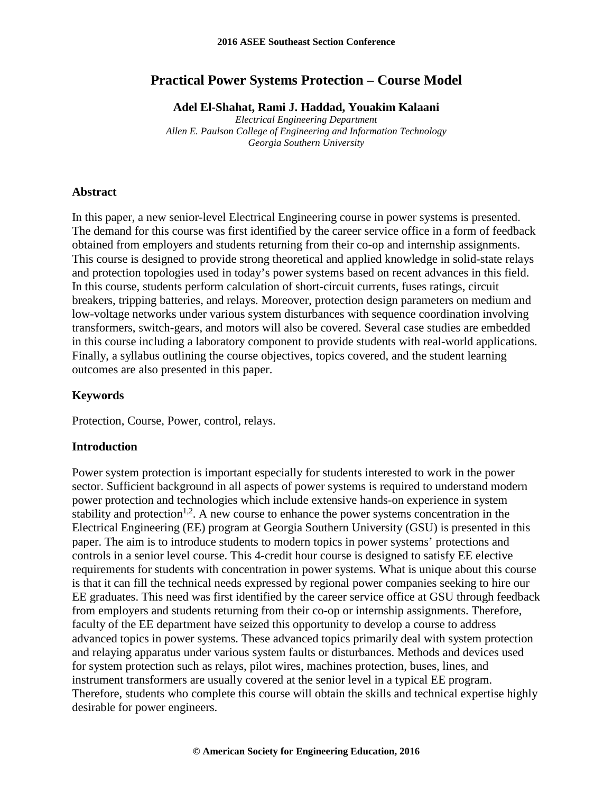# **Practical Power Systems Protection – Course Model**

**Adel El-Shahat, Rami J. Haddad, Youakim Kalaani**

*Electrical Engineering Department Allen E. Paulson College of Engineering and Information Technology Georgia Southern University*

### **Abstract**

In this paper, a new senior-level Electrical Engineering course in power systems is presented. The demand for this course was first identified by the career service office in a form of feedback obtained from employers and students returning from their co-op and internship assignments. This course is designed to provide strong theoretical and applied knowledge in solid-state relays and protection topologies used in today's power systems based on recent advances in this field. In this course, students perform calculation of short-circuit currents, fuses ratings, circuit breakers, tripping batteries, and relays. Moreover, protection design parameters on medium and low-voltage networks under various system disturbances with sequence coordination involving transformers, switch-gears, and motors will also be covered. Several case studies are embedded in this course including a laboratory component to provide students with real-world applications. Finally, a syllabus outlining the course objectives, topics covered, and the student learning outcomes are also presented in this paper.

#### **Keywords**

Protection, Course, Power, control, relays.

### **Introduction**

Power system protection is important especially for students interested to work in the power sector. Sufficient background in all aspects of power systems is required to understand modern power protection and technologies which include extensive hands-on experience in system stability and protection<sup>1,2</sup>. A new course to enhance the power systems concentration in the Electrical Engineering (EE) program at Georgia Southern University (GSU) is presented in this paper. The aim is to introduce students to modern topics in power systems' protections and controls in a senior level course. This 4-credit hour course is designed to satisfy EE elective requirements for students with concentration in power systems. What is unique about this course is that it can fill the technical needs expressed by regional power companies seeking to hire our EE graduates. This need was first identified by the career service office at GSU through feedback from employers and students returning from their co-op or internship assignments. Therefore, faculty of the EE department have seized this opportunity to develop a course to address advanced topics in power systems. These advanced topics primarily deal with system protection and relaying apparatus under various system faults or disturbances. Methods and devices used for system protection such as relays, pilot wires, machines protection, buses, lines, and instrument transformers are usually covered at the senior level in a typical EE program. Therefore, students who complete this course will obtain the skills and technical expertise highly desirable for power engineers.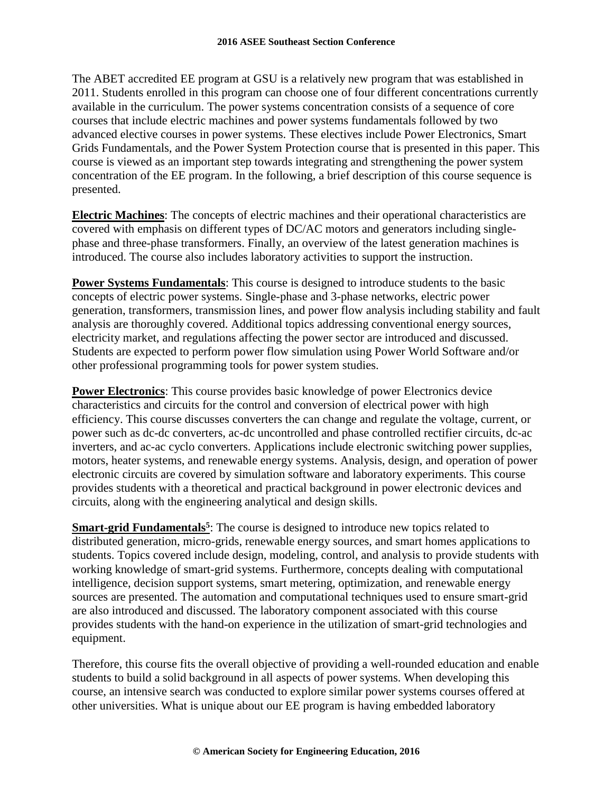The ABET accredited EE program at GSU is a relatively new program that was established in 2011. Students enrolled in this program can choose one of four different concentrations currently available in the curriculum. The power systems concentration consists of a sequence of core courses that include electric machines and power systems fundamentals followed by two advanced elective courses in power systems. These electives include Power Electronics, Smart Grids Fundamentals, and the Power System Protection course that is presented in this paper. This course is viewed as an important step towards integrating and strengthening the power system concentration of the EE program. In the following, a brief description of this course sequence is presented.

**Electric Machines**: The concepts of electric machines and their operational characteristics are covered with emphasis on different types of DC/AC motors and generators including singlephase and three-phase transformers. Finally, an overview of the latest generation machines is introduced. The course also includes laboratory activities to support the instruction.

**Power Systems Fundamentals**: This course is designed to introduce students to the basic concepts of electric power systems. Single-phase and 3-phase networks, electric power generation, transformers, transmission lines, and power flow analysis including stability and fault analysis are thoroughly covered. Additional topics addressing conventional energy sources, electricity market, and regulations affecting the power sector are introduced and discussed. Students are expected to perform power flow simulation using Power World Software and/or other professional programming tools for power system studies.

**Power Electronics**: This course provides basic knowledge of power Electronics device characteristics and circuits for the control and conversion of electrical power with high efficiency. This course discusses converters the can change and regulate the voltage, current, or power such as dc-dc converters, ac-dc uncontrolled and phase controlled rectifier circuits, dc-ac inverters, and ac-ac cyclo converters. Applications include electronic switching power supplies, motors, heater systems, and renewable energy systems. Analysis, design, and operation of power electronic circuits are covered by simulation software and laboratory experiments. This course provides students with a theoretical and practical background in power electronic devices and circuits, along with the engineering analytical and design skills.

**Smart-grid Fundamentals<sup>5</sup>:** The course is designed to introduce new topics related to distributed generation, micro-grids, renewable energy sources, and smart homes applications to students. Topics covered include design, modeling, control, and analysis to provide students with working knowledge of smart-grid systems. Furthermore, concepts dealing with computational intelligence, decision support systems, smart metering, optimization, and renewable energy sources are presented. The automation and computational techniques used to ensure smart-grid are also introduced and discussed. The laboratory component associated with this course provides students with the hand-on experience in the utilization of smart-grid technologies and equipment.

Therefore, this course fits the overall objective of providing a well-rounded education and enable students to build a solid background in all aspects of power systems. When developing this course, an intensive search was conducted to explore similar power systems courses offered at other universities. What is unique about our EE program is having embedded laboratory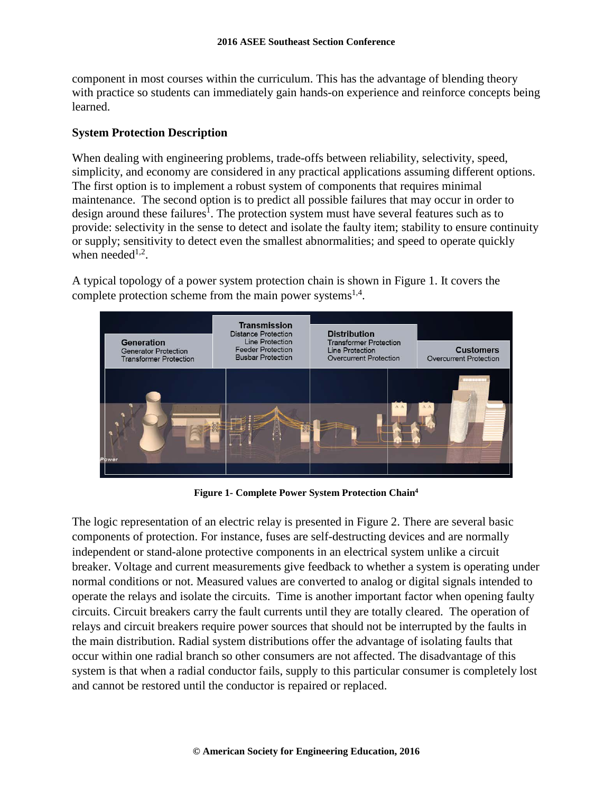component in most courses within the curriculum. This has the advantage of blending theory with practice so students can immediately gain hands-on experience and reinforce concepts being learned.

# **System Protection Description**

When dealing with engineering problems, trade-offs between reliability, selectivity, speed, simplicity, and economy are considered in any practical applications assuming different options. The first option is to implement a robust system of components that requires minimal maintenance. The second option is to predict all possible failures that may occur in order to design around these failures<sup>1</sup>. The protection system must have several features such as to provide: selectivity in the sense to detect and isolate the faulty item; stability to ensure continuity or supply; sensitivity to detect even the smallest abnormalities; and speed to operate quickly when needed $1,2$ .

A typical topology of a power system protection chain is shown in Figure 1. It covers the complete protection scheme from the main power systems<sup>1,4</sup>.



**Figure 1- Complete Power System Protection Chain4**

The logic representation of an electric relay is presented in Figure 2. There are several basic components of protection. For instance, fuses are self-destructing devices and are normally independent or stand-alone protective components in an electrical system unlike a circuit breaker. Voltage and current measurements give feedback to whether a system is operating under normal conditions or not. Measured values are converted to analog or digital signals intended to operate the relays and isolate the circuits. Time is another important factor when opening faulty circuits. Circuit breakers carry the fault currents until they are totally cleared. The operation of relays and circuit breakers require power sources that should not be interrupted by the faults in the main distribution. Radial system distributions offer the advantage of isolating faults that occur within one radial branch so other consumers are not affected. The disadvantage of this system is that when a radial conductor fails, supply to this particular consumer is completely lost and cannot be restored until the conductor is repaired or replaced.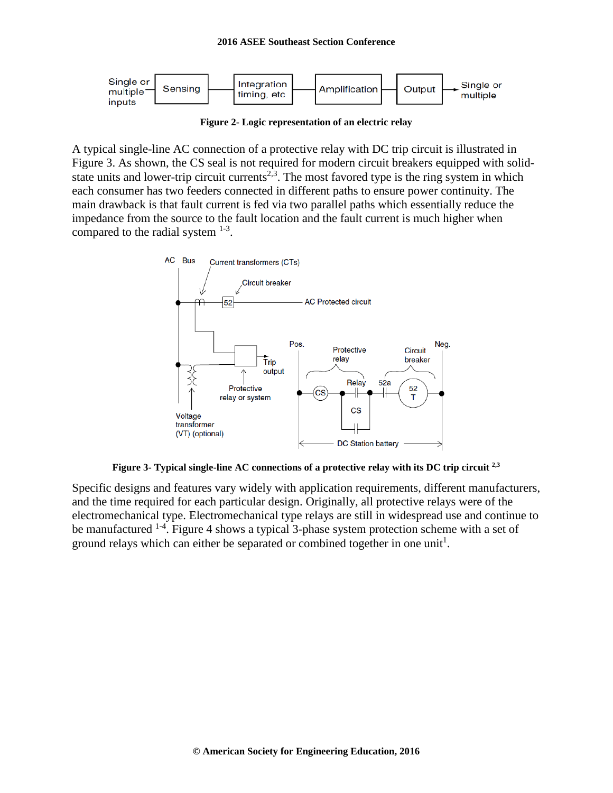

**Figure 2- Logic representation of an electric relay**

A typical single-line AC connection of a protective relay with DC trip circuit is illustrated in Figure 3. As shown, the CS seal is not required for modern circuit breakers equipped with solidstate units and lower-trip circuit currents<sup>2,3</sup>. The most favored type is the ring system in which each consumer has two feeders connected in different paths to ensure power continuity. The main drawback is that fault current is fed via two parallel paths which essentially reduce the impedance from the source to the fault location and the fault current is much higher when compared to the radial system  $1-3$ .



**Figure 3- Typical single-line AC connections of a protective relay with its DC trip circuit 2,3**

Specific designs and features vary widely with application requirements, different manufacturers, and the time required for each particular design. Originally, all protective relays were of the electromechanical type. Electromechanical type relays are still in widespread use and continue to be manufactured <sup>1-4</sup>. Figure 4 shows a typical 3-phase system protection scheme with a set of ground relays which can either be separated or combined together in one unit<sup>1</sup>.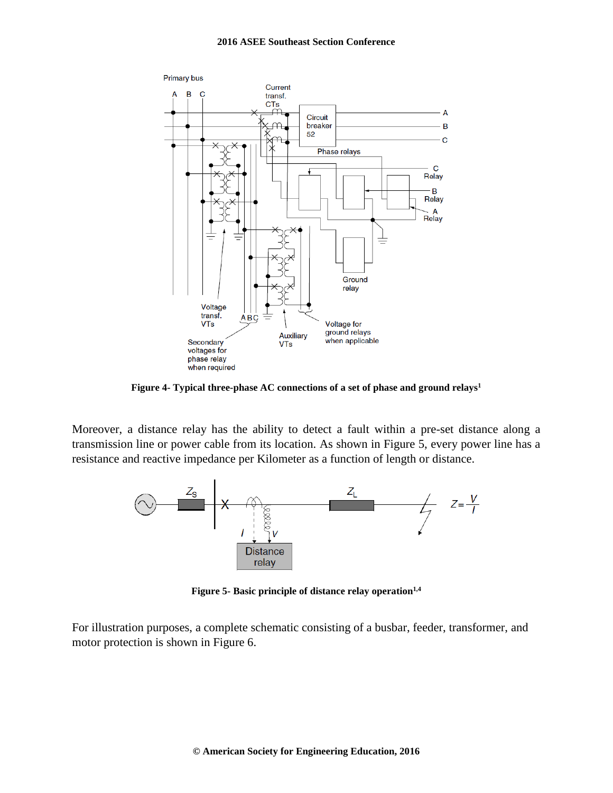

**Figure 4- Typical three-phase AC connections of a set of phase and ground relays1**

Moreover, a distance relay has the ability to detect a fault within a pre-set distance along a transmission line or power cable from its location. As shown in Figure 5, every power line has a resistance and reactive impedance per Kilometer as a function of length or distance.



**Figure 5- Basic principle of distance relay operation**<sup>1,4</sup>

For illustration purposes, a complete schematic consisting of a busbar, feeder, transformer, and motor protection is shown in Figure 6.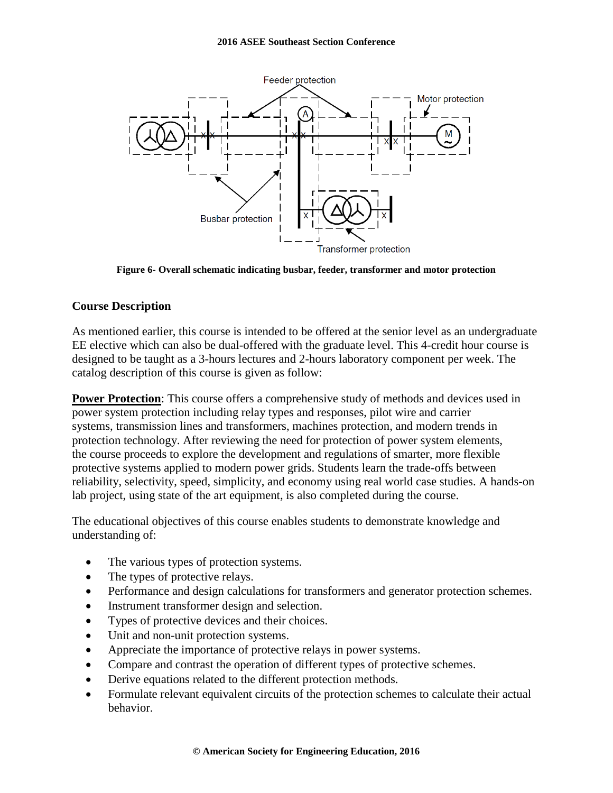

**Figure 6- Overall schematic indicating busbar, feeder, transformer and motor protection**

## **Course Description**

As mentioned earlier, this course is intended to be offered at the senior level as an undergraduate EE elective which can also be dual-offered with the graduate level. This 4-credit hour course is designed to be taught as a 3-hours lectures and 2-hours laboratory component per week. The catalog description of this course is given as follow:

**Power Protection**: This course offers a comprehensive study of methods and devices used in power system protection including relay types and responses, pilot wire and carrier systems, transmission lines and transformers, machines protection, and modern trends in protection technology. After reviewing the need for protection of power system elements, the course proceeds to explore the development and regulations of smarter, more flexible protective systems applied to modern power grids. Students learn the trade-offs between reliability, selectivity, speed, simplicity, and economy using real world case studies. A hands-on lab project, using state of the art equipment, is also completed during the course.

The educational objectives of this course enables students to demonstrate knowledge and understanding of:

- The various types of protection systems.
- The types of protective relays.
- Performance and design calculations for transformers and generator protection schemes.
- Instrument transformer design and selection.
- Types of protective devices and their choices.
- Unit and non-unit protection systems.
- Appreciate the importance of protective relays in power systems.
- Compare and contrast the operation of different types of protective schemes.
- Derive equations related to the different protection methods.
- Formulate relevant equivalent circuits of the protection schemes to calculate their actual behavior.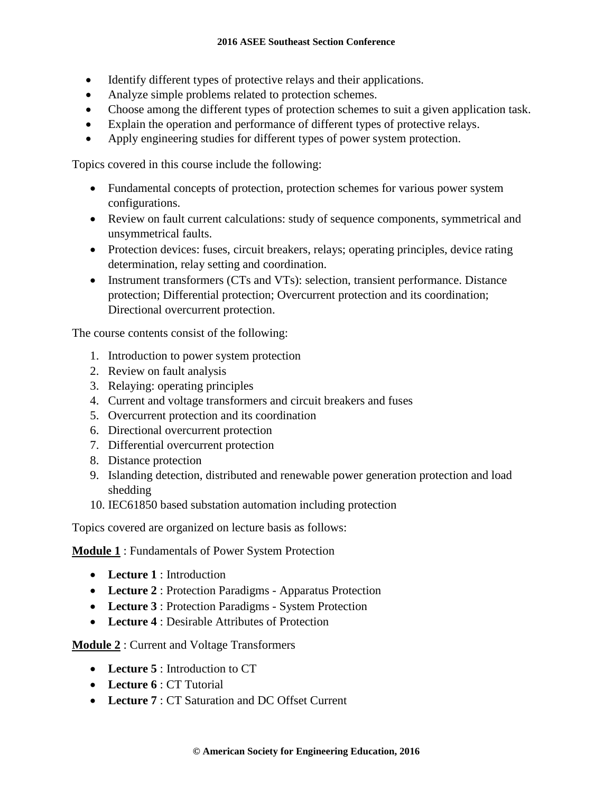- Identify different types of protective relays and their applications.
- Analyze simple problems related to protection schemes.
- Choose among the different types of protection schemes to suit a given application task.
- Explain the operation and performance of different types of protective relays.
- Apply engineering studies for different types of power system protection.

Topics covered in this course include the following:

- Fundamental concepts of protection, protection schemes for various power system configurations.
- Review on fault current calculations: study of sequence components, symmetrical and unsymmetrical faults.
- Protection devices: fuses, circuit breakers, relays; operating principles, device rating determination, relay setting and coordination.
- Instrument transformers (CTs and VTs): selection, transient performance. Distance protection; Differential protection; Overcurrent protection and its coordination; Directional overcurrent protection.

The course contents consist of the following:

- 1. Introduction to power system protection
- 2. Review on fault analysis
- 3. Relaying: operating principles
- 4. Current and voltage transformers and circuit breakers and fuses
- 5. Overcurrent protection and its coordination
- 6. Directional overcurrent protection
- 7. Differential overcurrent protection
- 8. Distance protection
- 9. Islanding detection, distributed and renewable power generation protection and load shedding
- 10. IEC61850 based substation automation including protection

Topics covered are organized on lecture basis as follows:

**Module 1** : Fundamentals of Power System Protection

- **Lecture 1** : Introduction
- **Lecture 2** : Protection Paradigms Apparatus Protection
- **Lecture 3** : Protection Paradigms System Protection
- **Lecture 4** : Desirable Attributes of Protection

**Module 2** : Current and Voltage Transformers

- **Lecture 5** : Introduction to CT
- **Lecture 6** : CT Tutorial
- Lecture 7 : CT Saturation and DC Offset Current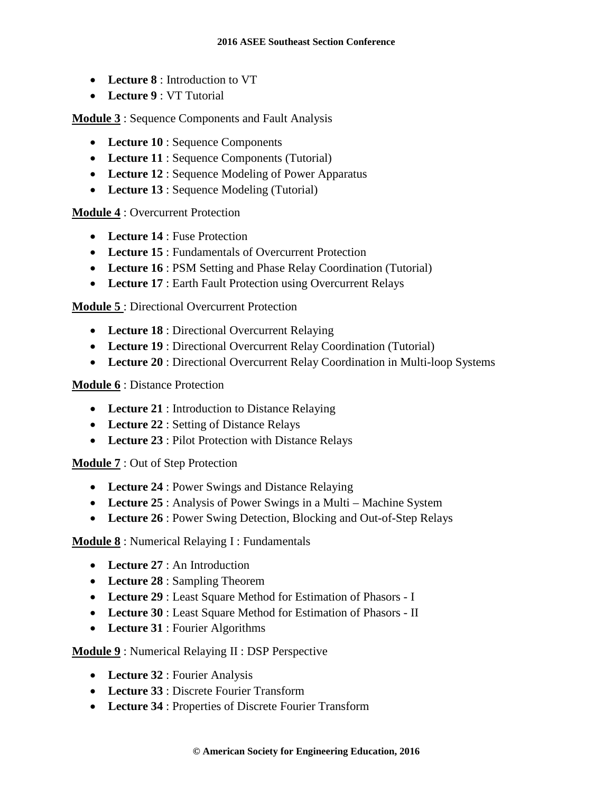- **Lecture 8** : Introduction to VT
- **Lecture 9** : VT Tutorial

**Module 3** : Sequence Components and Fault Analysis

- **Lecture 10** : Sequence Components
- **Lecture 11** : Sequence Components (Tutorial)
- **Lecture 12** : Sequence Modeling of Power Apparatus
- **Lecture 13** : Sequence Modeling (Tutorial)

**Module 4** : Overcurrent Protection

- **Lecture 14** : Fuse Protection
- **Lecture 15** : Fundamentals of Overcurrent Protection
- **Lecture 16** : PSM Setting and Phase Relay Coordination (Tutorial)
- **Lecture 17** : Earth Fault Protection using Overcurrent Relays

**Module 5** : Directional Overcurrent Protection

- **Lecture 18** : Directional Overcurrent Relaying
- **Lecture 19** : Directional Overcurrent Relay Coordination (Tutorial)
- **Lecture 20** : Directional Overcurrent Relay Coordination in Multi-loop Systems

**Module 6** : Distance Protection

- **Lecture 21** : Introduction to Distance Relaying
- **Lecture 22** : Setting of Distance Relays
- **Lecture 23** : Pilot Protection with Distance Relays

**Module 7** : Out of Step Protection

- **Lecture 24** : Power Swings and Distance Relaying
- Lecture 25 : Analysis of Power Swings in a Multi Machine System
- **Lecture 26** : Power Swing Detection, Blocking and Out-of-Step Relays

**Module 8** : Numerical Relaying I : Fundamentals

- **Lecture 27** : An Introduction
- **Lecture 28** : Sampling Theorem
- **Lecture 29** : Least Square Method for Estimation of Phasors I
- **Lecture 30** : Least Square Method for Estimation of Phasors II
- **Lecture 31** : Fourier Algorithms

**Module 9** : Numerical Relaying II : DSP Perspective

- **Lecture 32** : Fourier Analysis
- **Lecture 33** : Discrete Fourier Transform
- **Lecture 34** : Properties of Discrete Fourier Transform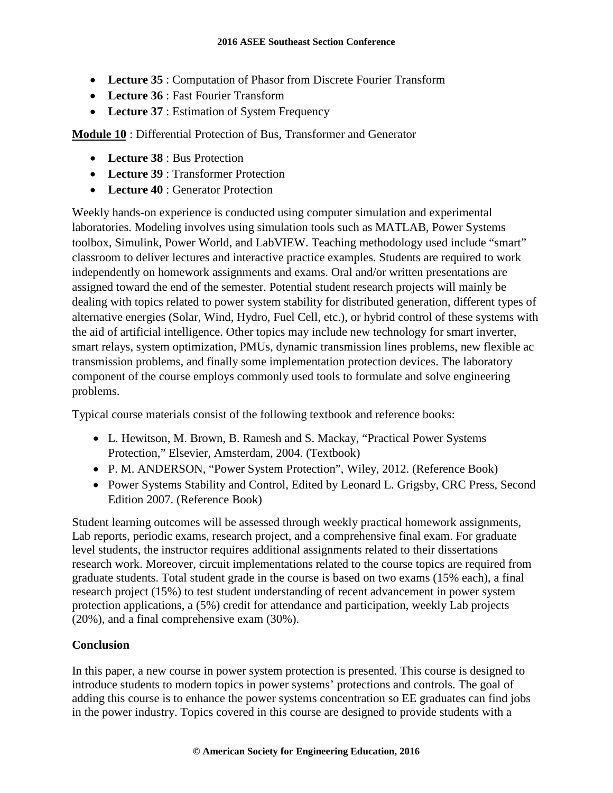- **Lecture 35** : Computation of Phasor from Discrete Fourier Transform
- **Lecture 36** : Fast Fourier Transform
- Lecture 37 : Estimation of System Frequency

**Module 10** : Differential Protection of Bus, Transformer and Generator

- **Lecture 38** : Bus Protection
- **Lecture 39** : Transformer Protection
- **Lecture 40** : Generator Protection

Weekly hands-on experience is conducted using computer simulation and experimental laboratories. Modeling involves using simulation tools such as MATLAB, Power Systems toolbox, Simulink, Power World, and LabVIEW. Teaching methodology used include "smart" classroom to deliver lectures and interactive practice examples. Students are required to work independently on homework assignments and exams. Oral and/or written presentations are assigned toward the end of the semester. Potential student research projects will mainly be dealing with topics related to power system stability for distributed generation, different types of alternative energies (Solar, Wind, Hydro, Fuel Cell, etc.), or hybrid control of these systems with the aid of artificial intelligence. Other topics may include new technology for smart inverter, smart relays, system optimization, PMUs, dynamic transmission lines problems, new flexible ac transmission problems, and finally some implementation protection devices. The laboratory component of the course employs commonly used tools to formulate and solve engineering problems.

Typical course materials consist of the following textbook and reference books:

- L. Hewitson, M. Brown, B. Ramesh and S. Mackay, "Practical Power Systems Protection," Elsevier, Amsterdam, 2004. (Textbook)
- P. M. ANDERSON, "Power System Protection", Wiley, 2012. (Reference Book)
- Power Systems Stability and Control, Edited by Leonard L. Grigsby, CRC Press, Second Edition 2007. (Reference Book)

Student learning outcomes will be assessed through weekly practical homework assignments, Lab reports, periodic exams, research project, and a comprehensive final exam. For graduate level students, the instructor requires additional assignments related to their dissertations research work. Moreover, circuit implementations related to the course topics are required from graduate students. Total student grade in the course is based on two exams (15% each), a final research project (15%) to test student understanding of recent advancement in power system protection applications, a (5%) credit for attendance and participation, weekly Lab projects (20%), and a final comprehensive exam (30%).

# **Conclusion**

In this paper, a new course in power system protection is presented. This course is designed to introduce students to modern topics in power systems' protections and controls. The goal of adding this course is to enhance the power systems concentration so EE graduates can find jobs in the power industry. Topics covered in this course are designed to provide students with a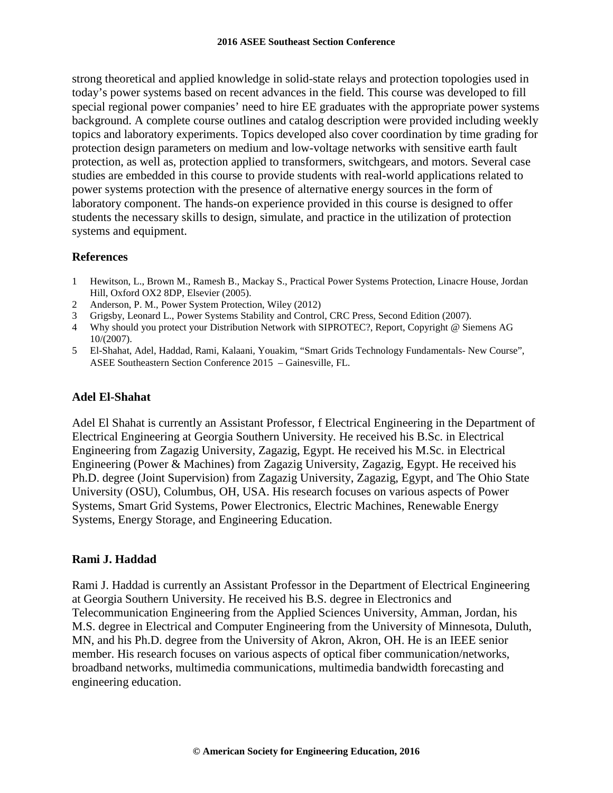strong theoretical and applied knowledge in solid-state relays and protection topologies used in today's power systems based on recent advances in the field. This course was developed to fill special regional power companies' need to hire EE graduates with the appropriate power systems background. A complete course outlines and catalog description were provided including weekly topics and laboratory experiments. Topics developed also cover coordination by time grading for protection design parameters on medium and low-voltage networks with sensitive earth fault protection, as well as, protection applied to transformers, switchgears, and motors. Several case studies are embedded in this course to provide students with real-world applications related to power systems protection with the presence of alternative energy sources in the form of laboratory component. The hands-on experience provided in this course is designed to offer students the necessary skills to design, simulate, and practice in the utilization of protection systems and equipment.

## **References**

- 1 Hewitson, L., Brown M., Ramesh B., Mackay S., Practical Power Systems Protection, Linacre House, Jordan Hill, Oxford OX2 8DP, Elsevier (2005).
- 2 Anderson, P. M., Power System Protection, Wiley (2012)
- 3 Grigsby, Leonard L., Power Systems Stability and Control, CRC Press, Second Edition (2007).
- 4 Why should you protect your Distribution Network with SIPROTEC?, Report, Copyright @ Siemens AG 10/(2007).
- 5 El-Shahat, Adel, Haddad, Rami, Kalaani, Youakim, "Smart Grids Technology Fundamentals- New Course", ASEE Southeastern Section Conference 2015 – Gainesville, FL.

## **Adel El-Shahat**

Adel El Shahat is currently an Assistant Professor, f Electrical Engineering in the Department of Electrical Engineering at Georgia Southern University. He received his B.Sc. in Electrical Engineering from Zagazig University, Zagazig, Egypt. He received his M.Sc. in Electrical Engineering (Power & Machines) from Zagazig University, Zagazig, Egypt. He received his Ph.D. degree (Joint Supervision) from Zagazig University, Zagazig, Egypt, and The Ohio State University (OSU), Columbus, OH, USA. His research focuses on various aspects of Power Systems, Smart Grid Systems, Power Electronics, Electric Machines, Renewable Energy Systems, Energy Storage, and Engineering Education.

## **Rami J. Haddad**

Rami J. Haddad is currently an Assistant Professor in the Department of Electrical Engineering at Georgia Southern University. He received his B.S. degree in Electronics and Telecommunication Engineering from the Applied Sciences University, Amman, Jordan, his M.S. degree in Electrical and Computer Engineering from the University of Minnesota, Duluth, MN, and his Ph.D. degree from the University of Akron, Akron, OH. He is an IEEE senior member. His research focuses on various aspects of optical fiber communication/networks, broadband networks, multimedia communications, multimedia bandwidth forecasting and engineering education.